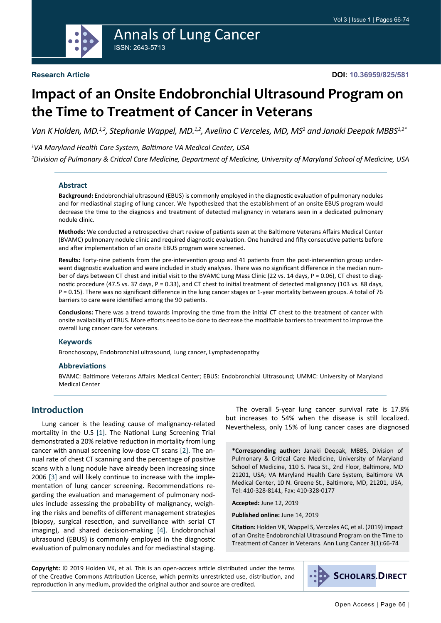

# **Impact of an Onsite Endobronchial Ultrasound Program on the Time to Treatment of Cancer in Veterans**

Van K Holden, MD.<sup>1,2</sup>, Stephanie Wappel, MD.<sup>1,2</sup>, Avelino C Verceles, MD, MS<sup>2</sup> and Janaki Deepak MBBS<sup>1,2\*</sup>

*1 VA Maryland Health Care System, Baltimore VA Medical Center, USA*

*2 Division of Pulmonary & Critical Care Medicine, Department of Medicine, University of Maryland School of Medicine, USA*

#### **Abstract**

**Background:** Endobronchial ultrasound (EBUS) is commonly employed in the diagnostic evaluation of pulmonary nodules and for mediastinal staging of lung cancer. We hypothesized that the establishment of an onsite EBUS program would decrease the time to the diagnosis and treatment of detected malignancy in veterans seen in a dedicated pulmonary nodule clinic.

**Methods:** We conducted a retrospective chart review of patients seen at the Baltimore Veterans Affairs Medical Center (BVAMC) pulmonary nodule clinic and required diagnostic evaluation. One hundred and fifty consecutive patients before and after implementation of an onsite EBUS program were screened.

**Results:** Forty-nine patients from the pre-intervention group and 41 patients from the post-intervention group underwent diagnostic evaluation and were included in study analyses. There was no significant difference in the median number of days between CT chest and initial visit to the BVAMC Lung Mass Clinic (22 vs. 14 days, P = 0.06), CT chest to diagnostic procedure (47.5 vs. 37 days, P = 0.33), and CT chest to initial treatment of detected malignancy (103 vs. 88 days, P = 0.15). There was no significant difference in the lung cancer stages or 1-year mortality between groups. A total of 76 barriers to care were identified among the 90 patients.

**Conclusions:** There was a trend towards improving the time from the initial CT chest to the treatment of cancer with onsite availability of EBUS. More efforts need to be done to decrease the modifiable barriers to treatment to improve the overall lung cancer care for veterans.

#### **Keywords**

Bronchoscopy, Endobronchial ultrasound, Lung cancer, Lymphadenopathy

#### **Abbreviations**

BVAMC: Baltimore Veterans Affairs Medical Center; EBUS: Endobronchial Ultrasound; UMMC: University of Maryland Medical Center

### **Introduction**

Lung cancer is the leading cause of malignancy-related mortality in the U.S [[1\]](#page-7-0). The National Lung Screening Trial demonstrated a 20% relative reduction in mortality from lung cancer with annual screening low-dose CT scans [\[2](#page-7-1)]. The annual rate of chest CT scanning and the percentage of positive scans with a lung nodule have already been increasing since 2006 [[3\]](#page-7-2) and will likely continue to increase with the implementation of lung cancer screening. Recommendations regarding the evaluation and management of pulmonary nodules include assessing the probability of malignancy, weighing the risks and benefits of different management strategies (biopsy, surgical resection, and surveillance with serial CT imaging), and shared decision-making [\[4](#page-7-3)]. Endobronchial ultrasound (EBUS) is commonly employed in the diagnostic evaluation of pulmonary nodules and for mediastinal staging.

The overall 5-year lung cancer survival rate is 17.8% but increases to 54% when the disease is still localized. Nevertheless, only 15% of lung cancer cases are diagnosed

**\*Corresponding author:** Janaki Deepak, MBBS, Division of Pulmonary & Critical Care Medicine, University of Maryland School of Medicine, 110 S. Paca St., 2nd Floor, Baltimore, MD 21201, USA; VA Maryland Health Care System, Baltimore VA Medical Center, 10 N. Greene St., Baltimore, MD, 21201, USA, Tel: 410-328-8141, Fax: 410-328-0177

**Accepted:** June 12, 2019

**Published online:** June 14, 2019

**Citation:** Holden VK, Wappel S, Verceles AC, et al. (2019) Impact of an Onsite Endobronchial Ultrasound Program on the Time to Treatment of Cancer in Veterans. Ann Lung Cancer 3(1):66-74

**Copyright:** © 2019 Holden VK, et al. This is an open-access article distributed under the terms of the Creative Commons Attribution License, which permits unrestricted use, distribution, and reproduction in any medium, provided the original author and source are credited.

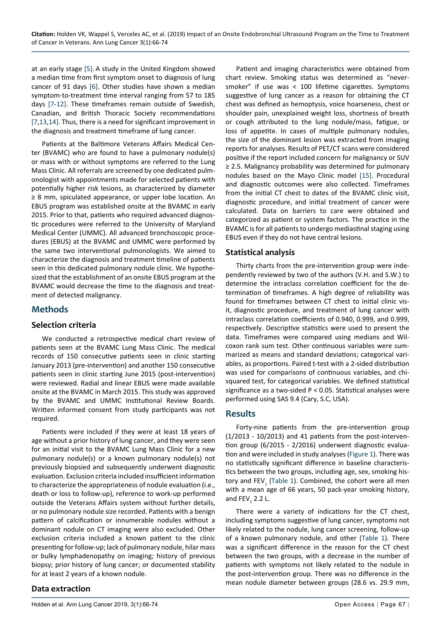at an early stage [[5\]](#page-7-4). A study in the United Kingdom showed a median time from first symptom onset to diagnosis of lung cancer of 91 days [[6\]](#page-7-5). Other studies have shown a median symptom-to-treatment time interval ranging from 57 to 185 days [\[7](#page-7-6)[-12](#page-8-1)]. These timeframes remain outside of Swedish, Canadian, and British Thoracic Society recommendations [[7](#page-7-6)[,13](#page-8-2),[14\]](#page-8-3). Thus, there is a need for significant improvement in the diagnosis and treatment timeframe of lung cancer.

Patients at the Baltimore Veterans Affairs Medical Center (BVAMC) who are found to have a pulmonary nodule(s) or mass with or without symptoms are referred to the Lung Mass Clinic. All referrals are screened by one dedicated pulmonologist with appointments made for selected patients with potentially higher risk lesions, as characterized by diameter ≥ 8 mm, spiculated appearance, or upper lobe location. An EBUS program was established onsite at the BVAMC in early 2015. Prior to that, patients who required advanced diagnostic procedures were referred to the University of Maryland Medical Center (UMMC). All advanced bronchoscopic procedures (EBUS) at the BVAMC and UMMC were performed by the same two interventional pulmonologists. We aimed to characterize the diagnosis and treatment timeline of patients seen in this dedicated pulmonary nodule clinic. We hypothesized that the establishment of an onsite EBUS program at the BVAMC would decrease the time to the diagnosis and treatment of detected malignancy.

### **Methods**

### **Selection criteria**

We conducted a retrospective medical chart review of patients seen at the BVAMC Lung Mass Clinic. The medical records of 150 consecutive patients seen in clinic starting January 2013 (pre-intervention) and another 150 consecutive patients seen in clinic starting June 2015 (post-intervention) were reviewed. Radial and linear EBUS were made available onsite at the BVAMC in March 2015. This study was approved by the BVAMC and UMMC Institutional Review Boards. Written informed consent from study participants was not required.

Patients were included if they were at least 18 years of age without a prior history of lung cancer, and they were seen for an initial visit to the BVAMC Lung Mass Clinic for a new pulmonary nodule(s) or a known pulmonary nodule(s) not previously biopsied and subsequently underwent diagnostic evaluation. Exclusion criteria included insufficient information to characterize the appropriateness of nodule evaluation (i.e., death or loss to follow-up), reference to work-up performed outside the Veterans Affairs system without further details, or no pulmonary nodule size recorded. Patients with a benign pattern of calcification or innumerable nodules without a dominant nodule on CT imaging were also excluded. Other exclusion criteria included a known patient to the clinic presenting for follow-up; lack of pulmonary nodule, hilar mass or bulky lymphadenopathy on imaging; history of previous biopsy; prior history of lung cancer; or documented stability for at least 2 years of a known nodule.

#### Patient and imaging characteristics were obtained from chart review. Smoking status was determined as "neversmoker" if use was < 100 lifetime cigarettes. Symptoms suggestive of lung cancer as a reason for obtaining the CT chest was defined as hemoptysis, voice hoarseness, chest or shoulder pain, unexplained weight loss, shortness of breath or cough attributed to the lung nodule/mass, fatigue, or loss of appetite. In cases of multiple pulmonary nodules, the size of the dominant lesion was extracted from imaging reports for analyses. Results of PET/CT scans were considered positive if the report included concern for malignancy or SUV ≥ 2.5. Malignancy probability was determined for pulmonary nodules based on the Mayo Clinic model [[15\]](#page-8-0). Procedural and diagnostic outcomes were also collected. Timeframes from the initial CT chest to dates of the BVAMC clinic visit, diagnostic procedure, and initial treatment of cancer were calculated. Data on barriers to care were obtained and categorized as patient or system factors. The practice in the BVAMC is for all patients to undergo mediastinal staging using EBUS even if they do not have central lesions.

### **Statistical analysis**

Thirty charts from the pre-intervention group were independently reviewed by two of the authors (V.H. and S.W.) to determine the intraclass correlation coefficient for the determination of timeframes. A high degree of reliability was found for timeframes between CT chest to initial clinic visit, diagnostic procedure, and treatment of lung cancer with intraclass correlation coefficients of 0.940, 0.999, and 0.999, respectively. Descriptive statistics were used to present the data. Timeframes were compared using medians and Wilcoxon rank sum test. Other continuous variables were summarized as means and standard deviations; categorical variables, as proportions. Paired t-test with a 2-sided distribution was used for comparisons of continuous variables, and chisquared test, for categorical variables. We defined statistical significance as a two-sided P < 0.05. Statistical analyses were performed using SAS 9.4 (Cary, S.C, USA).

### **Results**

Forty-nine patients from the pre-intervention group (1/2013 - 10/2013) and 41 patients from the post-intervention group (6/2015 - 2/2016) underwent diagnostic evaluation and were included in study analyses ([Figure 1](#page-2-0)). There was no statistically significant difference in baseline characteristics between the two groups, including age, sex, smoking history and  $FEV_1$  ([Table 1\)](#page-2-1). Combined, the cohort were all men with a mean age of 66 years, 50 pack-year smoking history, and  $FEV<sub>1</sub>$  2.2 L.

There were a variety of indications for the CT chest, including symptoms suggestive of lung cancer, symptoms not likely related to the nodule, lung cancer screening, follow-up of a known pulmonary nodule, and other [\(Table 1\)](#page-2-1). There was a significant difference in the reason for the CT chest between the two groups, with a decrease in the number of patients with symptoms not likely related to the nodule in the post-intervention group. There was no difference in the mean nodule diameter between groups (28.6 vs. 29.9 mm,

### **Data extraction**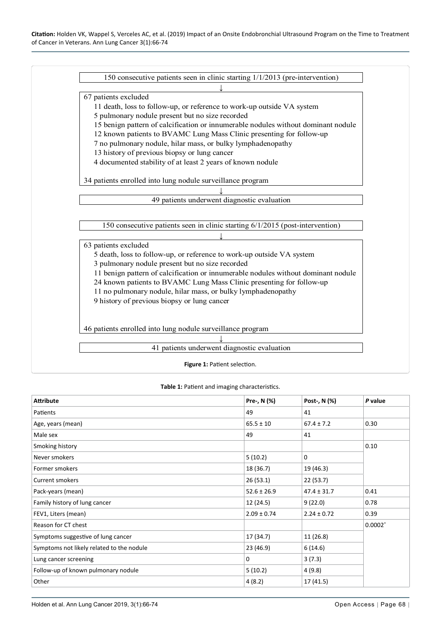<span id="page-2-0"></span>

#### <span id="page-2-1"></span>**Table 1:** Patient and imaging characteristics.

| <b>Attribute</b>                          | Pre-, N (%)     | Post-, N (%)    | P value |  |
|-------------------------------------------|-----------------|-----------------|---------|--|
| Patients                                  | 49              | 41              |         |  |
| Age, years (mean)                         | $65.5 \pm 10$   | $67.4 \pm 7.2$  | 0.30    |  |
| Male sex                                  | 49              | 41              |         |  |
| Smoking history                           |                 |                 |         |  |
| Never smokers                             | 5(10.2)         | 0               |         |  |
| Former smokers                            | 18 (36.7)       | 19 (46.3)       |         |  |
| Current smokers                           | 26(53.1)        | 22 (53.7)       |         |  |
| Pack-years (mean)                         | $52.6 \pm 26.9$ | $47.4 \pm 31.7$ | 0.41    |  |
| Family history of lung cancer             | 12 (24.5)       | 9(22.0)         | 0.78    |  |
| FEV1, Liters (mean)                       | $2.09 \pm 0.74$ | $2.24 \pm 0.72$ | 0.39    |  |
| Reason for CT chest                       |                 |                 |         |  |
| Symptoms suggestive of lung cancer        | 17 (34.7)       | 11 (26.8)       |         |  |
| Symptoms not likely related to the nodule | 23 (46.9)       | 6(14.6)         |         |  |
| Lung cancer screening                     | 0               | 3(7.3)          |         |  |
| Follow-up of known pulmonary nodule       | 5(10.2)         | 4(9.8)          |         |  |
| Other                                     | 4(8.2)          | 17(41.5)        |         |  |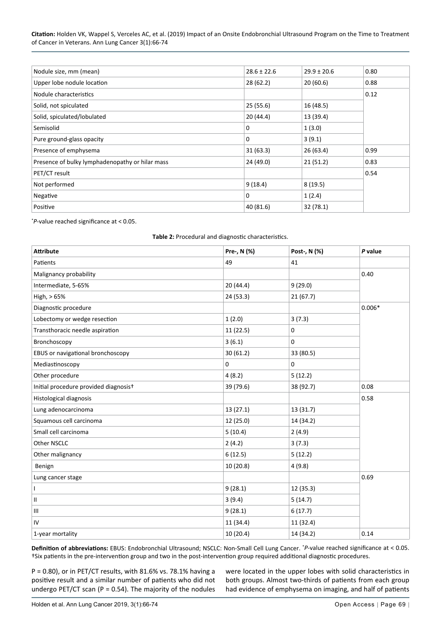| Nodule size, mm (mean)                          | $28.6 \pm 22.6$ | $29.9 \pm 20.6$ | 0.80 |
|-------------------------------------------------|-----------------|-----------------|------|
| Upper lobe nodule location                      | 28 (62.2)       | 20(60.6)        | 0.88 |
| Nodule characteristics                          |                 |                 | 0.12 |
| Solid, not spiculated                           | 25(55.6)        | 16 (48.5)       |      |
| Solid, spiculated/lobulated                     | 20(44.4)        | 13 (39.4)       |      |
| Semisolid                                       | $\Omega$        | 1(3.0)          |      |
| Pure ground-glass opacity                       | $\Omega$        | 3(9.1)          |      |
| Presence of emphysema                           | 31(63.3)        | 26 (63.4)       | 0.99 |
| Presence of bulky lymphadenopathy or hilar mass | 24 (49.0)       | 21(51.2)        | 0.83 |
| PET/CT result                                   |                 |                 | 0.54 |
| Not performed                                   | 9(18.4)         | 8(19.5)         |      |
| Negative                                        | $\Omega$        | 1(2.4)          |      |
| Positive                                        | 40 (81.6)       | 32(78.1)        |      |

\* *P*-value reached significance at < 0.05.

#### <span id="page-3-0"></span>**Table 2:** Procedural and diagnostic characteristics.

| <b>Attribute</b>                      | Pre-, N (%) | Post-, N (%) | P value |
|---------------------------------------|-------------|--------------|---------|
| Patients                              | 49          | 41           |         |
| Malignancy probability                |             |              | 0.40    |
| Intermediate, 5-65%                   | 20 (44.4)   | 9(29.0)      |         |
| High, > 65%                           | 24 (53.3)   | 21(67.7)     |         |
| Diagnostic procedure                  |             | $0.006*$     |         |
| Lobectomy or wedge resection          | 1(2.0)      | 3(7.3)       |         |
| Transthoracic needle aspiration       | 11 (22.5)   | 0            |         |
| Bronchoscopy                          | 3(6.1)      | 0            |         |
| EBUS or navigational bronchoscopy     | 30 (61.2)   | 33 (80.5)    |         |
| Mediastinoscopy                       | 0           | 0            |         |
| Other procedure                       | 4(8.2)      | 5(12.2)      |         |
| Initial procedure provided diagnosist | 39 (79.6)   | 38 (92.7)    | 0.08    |
| Histological diagnosis                |             |              | 0.58    |
| Lung adenocarcinoma                   | 13 (27.1)   | 13 (31.7)    |         |
| Squamous cell carcinoma               | 12 (25.0)   | 14 (34.2)    |         |
| Small cell carcinoma                  | 5(10.4)     | 2(4.9)       |         |
| Other NSCLC                           | 2(4.2)      | 3(7.3)       |         |
| Other malignancy                      | 6(12.5)     | 5(12.2)      |         |
| Benign                                | 10 (20.8)   | 4(9.8)       |         |
| Lung cancer stage                     |             |              | 0.69    |
| $\overline{1}$                        | 9(28.1)     | 12 (35.3)    |         |
| Ш                                     | 3(9.4)      | 5(14.7)      |         |
| $\mathbf{III}$                        | 9(28.1)     | 6(17.7)      |         |
| IV                                    | 11 (34.4)   | 11 (32.4)    |         |
| 1-year mortality                      | 10(20.4)    | 14 (34.2)    | 0.14    |

**Definition of abbreviations:** EBUS: Endobronchial Ultrasound; NSCLC: Non-Small Cell Lung Cancer. \* *P*-value reached significance at < 0.05. †Six patients in the pre-intervention group and two in the post-intervention group required additional diagnostic procedures.

P = 0.80), or in PET/CT results, with 81.6% vs. 78.1% having a positive result and a similar number of patients who did not undergo PET/CT scan (P = 0.54). The majority of the nodules

were located in the upper lobes with solid characteristics in both groups. Almost two-thirds of patients from each group had evidence of emphysema on imaging, and half of patients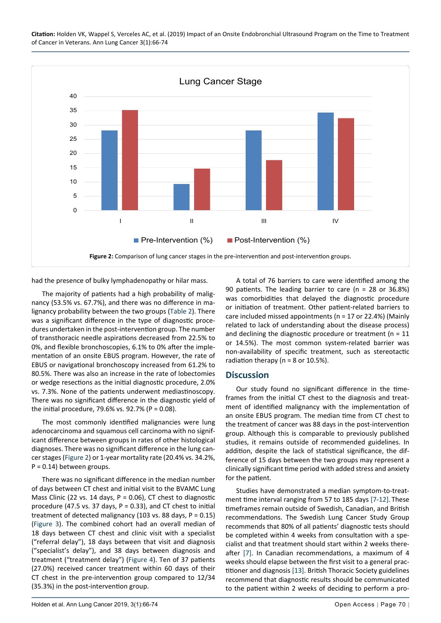<span id="page-4-0"></span>

**Citation:** Holden VK, Wappel S, Verceles AC, et al. (2019) Impact of an Onsite Endobronchial Ultrasound Program on the Time to Treatment of Cancer in Veterans. Ann Lung Cancer 3(1):66-74

had the presence of bulky lymphadenopathy or hilar mass.

The majority of patients had a high probability of malignancy (53.5% vs. 67.7%), and there was no difference in malignancy probability between the two groups ([Table 2](#page-3-0)). There was a significant difference in the type of diagnostic procedures undertaken in the post-intervention group. The number of transthoracic needle aspirations decreased from 22.5% to 0%, and flexible bronchoscopies, 6.1% to 0% after the implementation of an onsite EBUS program. However, the rate of EBUS or navigational bronchoscopy increased from 61.2% to 80.5%. There was also an increase in the rate of lobectomies or wedge resections as the initial diagnostic procedure, 2.0% vs. 7.3%. None of the patients underwent mediastinoscopy. There was no significant difference in the diagnostic yield of the initial procedure, 79.6% vs. 92.7% (P = 0.08).

The most commonly identified malignancies were lung adenocarcinoma and squamous cell carcinoma with no significant difference between groups in rates of other histological diagnoses. There was no significant difference in the lung cancer stages ([Figure 2\)](#page-4-0) or 1-year mortality rate (20.4% vs. 34.2%,  $P = 0.14$ ) between groups.

There was no significant difference in the median number of days between CT chest and initial visit to the BVAMC Lung Mass Clinic (22 vs. 14 days,  $P = 0.06$ ), CT chest to diagnostic procedure (47.5 vs. 37 days,  $P = 0.33$ ), and CT chest to initial treatment of detected malignancy (103 vs. 88 days,  $P = 0.15$ ) ([Figure 3\)](#page-5-0). The combined cohort had an overall median of 18 days between CT chest and clinic visit with a specialist ("referral delay"), 18 days between that visit and diagnosis ("specialist's delay"), and 38 days between diagnosis and treatment ("treatment delay") ([Figure 4\)](#page-6-0). Ten of 37 patients (27.0%) received cancer treatment within 60 days of their CT chest in the pre-intervention group compared to 12/34 (35.3%) in the post-intervention group.

A total of 76 barriers to care were identified among the 90 patients. The leading barrier to care (n = 28 or 36.8%) was comorbidities that delayed the diagnostic procedure or initiation of treatment. Other patient-related barriers to care included missed appointments (n = 17 or 22.4%) (Mainly related to lack of understanding about the disease process) and declining the diagnostic procedure or treatment ( $n = 11$ ) or 14.5%). The most common system-related barrier was non-availability of specific treatment, such as stereotactic radiation therapy ( $n = 8$  or 10.5%).

#### **Discussion**

Our study found no significant difference in the timeframes from the initial CT chest to the diagnosis and treatment of identified malignancy with the implementation of an onsite EBUS program. The median time from CT chest to the treatment of cancer was 88 days in the post-intervention group. Although this is comparable to previously published studies, it remains outside of recommended guidelines. In addition, despite the lack of statistical significance, the difference of 15 days between the two groups may represent a clinically significant time period with added stress and anxiety for the patient.

Studies have demonstrated a median symptom-to-treatment time interval ranging from 57 to 185 days [\[7](#page-7-6)-[12\]](#page-8-1). These timeframes remain outside of Swedish, Canadian, and British recommendations. The Swedish Lung Cancer Study Group recommends that 80% of all patients' diagnostic tests should be completed within 4 weeks from consultation with a specialist and that treatment should start within 2 weeks thereafter [\[7](#page-7-6)]. In Canadian recommendations, a maximum of 4 weeks should elapse between the first visit to a general practitioner and diagnosis [\[13\]](#page-8-2). British Thoracic Society guidelines recommend that diagnostic results should be communicated to the patient within 2 weeks of deciding to perform a pro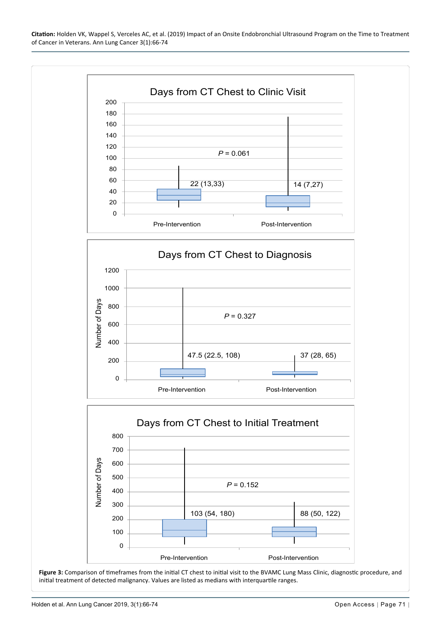**Citation:** Holden VK, Wappel S, Verceles AC, et al. (2019) Impact of an Onsite Endobronchial Ultrasound Program on the Time to Treatment of Cancer in Veterans. Ann Lung Cancer 3(1):66-74

<span id="page-5-0"></span>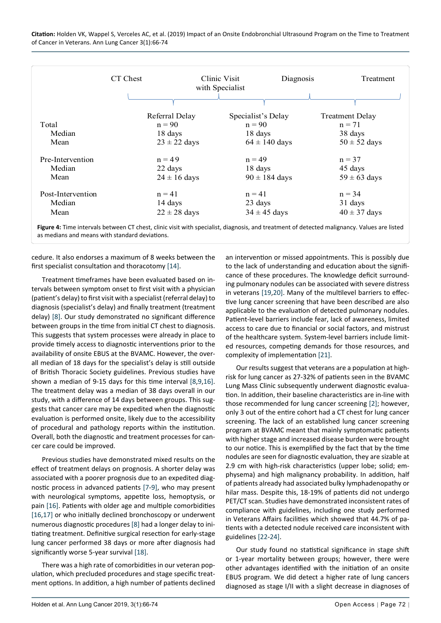<span id="page-6-0"></span>

|                   | CT Chest       |                  | Clinic Visit<br>with Specialist | Diagnosis | Treatment              |
|-------------------|----------------|------------------|---------------------------------|-----------|------------------------|
|                   |                |                  |                                 |           |                        |
|                   | Referral Delay |                  | Specialist's Delay              |           | <b>Treatment Delay</b> |
| Total             | $n = 90$       |                  | $n = 90$                        |           | $n = 71$               |
| Median            | 18 days        |                  | 18 days                         |           | 38 days                |
| Mean              |                | $23 \pm 22$ days | $64 \pm 140$ days               |           | $50 \pm 52$ days       |
| Pre-Intervention  | $n = 49$       |                  | $n = 49$                        |           | $n = 37$               |
| Median            | 22 days        |                  | 18 days                         |           | 45 days                |
| Mean              |                | $24 \pm 16$ days | $90 \pm 184$ days               |           | $59 \pm 63$ days       |
| Post-Intervention | $n = 41$       |                  | $n = 41$                        |           | $n = 34$               |
| Median            | 14 days        |                  | 23 days                         |           | 31 days                |
| Mean              |                | $22 \pm 28$ days | $34 \pm 45$ days                |           | $40 \pm 37$ days       |

as medians and means with standard deviations.

cedure. It also endorses a maximum of 8 weeks between the first specialist consultation and thoracotomy [[14\]](#page-8-3).

Treatment timeframes have been evaluated based on intervals between symptom onset to first visit with a physician (patient's delay) to first visit with a specialist (referral delay) to diagnosis (specialist's delay) and finally treatment (treatment delay) [\[8](#page-7-7)]. Our study demonstrated no significant difference between groups in the time from initial CT chest to diagnosis. This suggests that system processes were already in place to provide timely access to diagnostic interventions prior to the availability of onsite EBUS at the BVAMC. However, the overall median of 18 days for the specialist's delay is still outside of British Thoracic Society guidelines. Previous studies have shown a median of 9-15 days for this time interval [[8](#page-7-7)[,9](#page-7-8),[16\]](#page-8-9). The treatment delay was a median of 38 days overall in our study, with a difference of 14 days between groups. This suggests that cancer care may be expedited when the diagnostic evaluation is performed onsite, likely due to the accessibility of procedural and pathology reports within the institution. Overall, both the diagnostic and treatment processes for cancer care could be improved.

Previous studies have demonstrated mixed results on the effect of treatment delays on prognosis. A shorter delay was associated with a poorer prognosis due to an expedited diagnostic process in advanced patients [\[7](#page-7-6)[-9](#page-7-8)], who may present with neurological symptoms, appetite loss, hemoptysis, or pain [[16\]](#page-8-9). Patients with older age and multiple comorbidities [[16,](#page-8-9)[17](#page-8-10)] or who initially declined bronchoscopy or underwent numerous diagnostic procedures [[8\]](#page-7-7) had a longer delay to initiating treatment. Definitive surgical resection for early-stage lung cancer performed 38 days or more after diagnosis had significantly worse 5-year survival [[18\]](#page-8-11).

There was a high rate of comorbidities in our veteran population, which precluded procedures and stage specific treatment options. In addition, a high number of patients declined an intervention or missed appointments. This is possibly due to the lack of understanding and education about the significance of these procedures. The knowledge deficit surrounding pulmonary nodules can be associated with severe distress in veterans [\[19](#page-8-4),[20\]](#page-8-5). Many of the multilevel barriers to effective lung cancer screening that have been described are also applicable to the evaluation of detected pulmonary nodules. Patient-level barriers include fear, lack of awareness, limited access to care due to financial or social factors, and mistrust of the healthcare system. System-level barriers include limited resources, competing demands for those resources, and complexity of implementation [[21\]](#page-8-6).

Our results suggest that veterans are a population at highrisk for lung cancer as 27-32% of patients seen in the BVAMC Lung Mass Clinic subsequently underwent diagnostic evaluation. In addition, their baseline characteristics are in-line with those recommended for lung cancer screening [\[2](#page-7-1)]; however, only 3 out of the entire cohort had a CT chest for lung cancer screening. The lack of an established lung cancer screening program at BVAMC meant that mainly symptomatic patients with higher stage and increased disease burden were brought to our notice. This is exemplified by the fact that by the time nodules are seen for diagnostic evaluation, they are sizable at 2.9 cm with high-risk characteristics (upper lobe; solid; emphysema) and high malignancy probability. In addition, half of patients already had associated bulky lymphadenopathy or hilar mass. Despite this, 18-19% of patients did not undergo PET/CT scan. Studies have demonstrated inconsistent rates of compliance with guidelines, including one study performed in Veterans Affairs facilities which showed that 44.7% of patients with a detected nodule received care inconsistent with guidelines [\[22](#page-8-7)[-24\]](#page-8-8).

Our study found no statistical significance in stage shift or 1-year mortality between groups; however, there were other advantages identified with the initiation of an onsite EBUS program. We did detect a higher rate of lung cancers diagnosed as stage I/II with a slight decrease in diagnoses of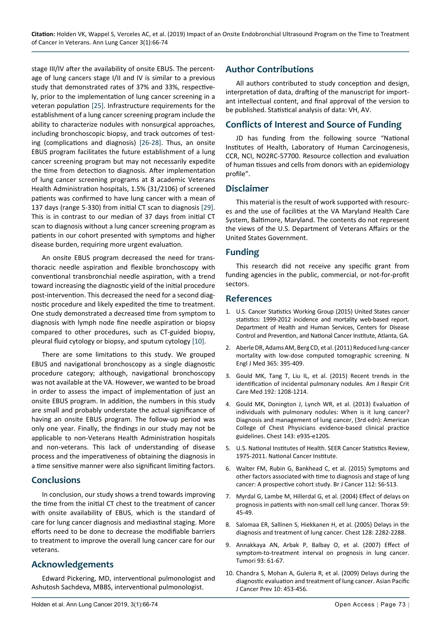stage III/IV after the availability of onsite EBUS. The percentage of lung cancers stage I/II and IV is similar to a previous study that demonstrated rates of 37% and 33%, respectively, prior to the implementation of lung cancer screening in a veteran population [[25\]](#page-8-12). Infrastructure requirements for the establishment of a lung cancer screening program include the ability to characterize nodules with nonsurgical approaches, including bronchoscopic biopsy, and track outcomes of testing (complications and diagnosis) [\[26](#page-8-13)-[28\]](#page-8-14). Thus, an onsite EBUS program facilitates the future establishment of a lung cancer screening program but may not necessarily expedite the time from detection to diagnosis. After implementation of lung cancer screening programs at 8 academic Veterans Health Administration hospitals, 1.5% (31/2106) of screened patients was confirmed to have lung cancer with a mean of 137 days (range 5-330) from initial CT scan to diagnosis [[29\]](#page-8-15). This is in contrast to our median of 37 days from initial CT scan to diagnosis without a lung cancer screening program as patients in our cohort presented with symptoms and higher disease burden, requiring more urgent evaluation.

An onsite EBUS program decreased the need for transthoracic needle aspiration and flexible bronchoscopy with conventional transbronchial needle aspiration, with a trend toward increasing the diagnostic yield of the initial procedure post-intervention. This decreased the need for a second diagnostic procedure and likely expedited the time to treatment. One study demonstrated a decreased time from symptom to diagnosis with lymph node fine needle aspiration or biopsy compared to other procedures, such as CT-guided biopsy, pleural fluid cytology or biopsy, and sputum cytology [[10\]](#page-7-9).

There are some limitations to this study. We grouped EBUS and navigational bronchoscopy as a single diagnostic procedure category; although, navigational bronchoscopy was not available at the VA. However, we wanted to be broad in order to assess the impact of implementation of just an onsite EBUS program. In addition, the numbers in this study are small and probably understate the actual significance of having an onsite EBUS program. The follow-up period was only one year. Finally, the findings in our study may not be applicable to non-Veterans Health Administration hospitals and non-veterans. This lack of understanding of disease process and the imperativeness of obtaining the diagnosis in a time sensitive manner were also significant limiting factors.

### **Conclusions**

In conclusion, our study shows a trend towards improving the time from the initial CT chest to the treatment of cancer with onsite availability of EBUS, which is the standard of care for lung cancer diagnosis and mediastinal staging. More efforts need to be done to decrease the modifiable barriers to treatment to improve the overall lung cancer care for our veterans.

### **Acknowledgements**

Edward Pickering, MD, interventional pulmonologist and Ashutosh Sachdeva, MBBS, interventional pulmonologist.

### **Author Contributions**

All authors contributed to study conception and design, interpretation of data, drafting of the manuscript for important intellectual content, and final approval of the version to be published. Statistical analysis of data: VH, AV.

### **Conflicts of Interest and Source of Funding**

JD has funding from the following source "National Institutes of Health, Laboratory of Human Carcinogenesis, CCR, NCI, NO2RC-57700. Resource collection and evaluation of human tissues and cells from donors with an epidemiology profile".

### **Disclaimer**

This material is the result of work supported with resources and the use of facilities at the VA Maryland Health Care System, Baltimore, Maryland. The contents do not represent the views of the U.S. Department of Veterans Affairs or the United States Government.

### **Funding**

This research did not receive any specific grant from funding agencies in the public, commercial, or not-for-profit sectors.

### **References**

- <span id="page-7-0"></span>1. U.S. Cancer Statistics Working Group (2015) United States cancer statistics: 1999-2012 incidence and mortality web-based report. Department of Health and Human Services, Centers for Disease Control and Prevention, and National Cancer Institute, Atlanta, GA.
- <span id="page-7-1"></span>2. [Aberle DR, Adams AM, Berg CD, et al. \(2011\) Reduced lung-cancer](https://www.ncbi.nlm.nih.gov/pubmed/21714641)  [mortality with low-dose computed tomographic screening. N](https://www.ncbi.nlm.nih.gov/pubmed/21714641)  [Engl J Med 365: 395-409.](https://www.ncbi.nlm.nih.gov/pubmed/21714641)
- <span id="page-7-2"></span>3. [Gould MK, Tang T, Liu IL, et al. \(2015\) Recent trends in the](https://www.ncbi.nlm.nih.gov/pubmed/26214244)  [identification of incidental pulmonary nodules. Am J Respir Crit](https://www.ncbi.nlm.nih.gov/pubmed/26214244)  [Care Med 192: 1208-1214.](https://www.ncbi.nlm.nih.gov/pubmed/26214244)
- <span id="page-7-3"></span>4. [Gould MK, Donington J, Lynch WR, et al. \(2013\) Evaluation of](https://www.ncbi.nlm.nih.gov/pubmed/23649456)  [individuals with pulmonary nodules: When is it lung cancer?](https://www.ncbi.nlm.nih.gov/pubmed/23649456)  [Diagnosis and management of lung cancer, \(3rd edn\): American](https://www.ncbi.nlm.nih.gov/pubmed/23649456)  [College of Chest Physicians evidence-based clinical practice](https://www.ncbi.nlm.nih.gov/pubmed/23649456)  [guidelines. Chest 143: e93S-e120S.](https://www.ncbi.nlm.nih.gov/pubmed/23649456)
- <span id="page-7-4"></span>5. U.S. National Institutes of Health. SEER Cancer Statistics Review, 1975-2011. National Cancer Institute.
- <span id="page-7-5"></span>6. [Walter FM, Rubin G, Bankhead C, et al. \(2015\) Symptoms and](https://www.ncbi.nlm.nih.gov/pubmed/25734397)  [other factors associated with time to diagnosis and stage of lung](https://www.ncbi.nlm.nih.gov/pubmed/25734397)  [cancer: A prospective cohort study. Br J Cancer 112: S6-S13.](https://www.ncbi.nlm.nih.gov/pubmed/25734397)
- <span id="page-7-6"></span>7. [Myrdal G, Lambe M, Hillerdal G, et al. \(2004\) Effect of delays on](https://www.ncbi.nlm.nih.gov/pubmed/14694247)  [prognosis in patients with non-small cell lung cancer. Thorax 59:](https://www.ncbi.nlm.nih.gov/pubmed/14694247)  [45-49.](https://www.ncbi.nlm.nih.gov/pubmed/14694247)
- <span id="page-7-7"></span>8. [Salomaa ER, Sallinen S, Hiekkanen H, et al. \(2005\) Delays in the](https://www.ncbi.nlm.nih.gov/pubmed/16236885)  [diagnosis and treatment of lung cancer. Chest 128: 2282-2288.](https://www.ncbi.nlm.nih.gov/pubmed/16236885)
- <span id="page-7-8"></span>9. [Annakkaya AN, Arbak P, Balbay O, et al. \(2007\) Effect of](https://www.ncbi.nlm.nih.gov/pubmed/17455873)  [symptom-to-treatment interval on prognosis in lung cancer.](https://www.ncbi.nlm.nih.gov/pubmed/17455873)  [Tumori 93: 61-67.](https://www.ncbi.nlm.nih.gov/pubmed/17455873)
- <span id="page-7-9"></span>10. [Chandra S, Mohan A, Guleria R, et al. \(2009\) Delays during the](https://www.ncbi.nlm.nih.gov/pubmed/19640190)  [diagnostic evaluation and treatment of lung cancer. Asian Pacific](https://www.ncbi.nlm.nih.gov/pubmed/19640190)  [J Cancer Prev 10: 453-456.](https://www.ncbi.nlm.nih.gov/pubmed/19640190)